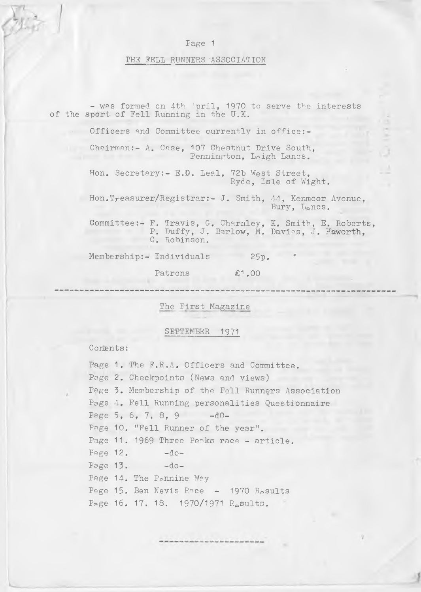### THE FELL RUNNERS 'ASSOCIATION

- was formed on 4th 'pril, 1970 to serve the interests of the sport of Fell Running in the U.K. Officers and Committee currently in office:-Chairman:- A. Case, 107 Chestnut Drive South, Pennington, Leigh Lancs. Hon. Secretary:- E.B. Leal, 72b West Street, Ryde, Isle of Wight. Hon.Treasurer/Registrar:- J. Smith, 44, Kenmoor Avenue, Bury, L<sub>a</sub>ncs. Committee:- F. Travis, G. Charnley, K. Smith, E. Roberts, P. Duffy, J. Barlow, M. Davies, J. Haworth, C. Robinson. Membership:- Individuals 25p. Patrons £1,00

The First Magazine

### SEPTEMBER 1971

Contents:

Page 1. The F.R.A. Officers and Committee. Page 2. Checkpoints (News and views) Page 3. Membership of the Fell Runners Association Page 4. Fell Running personalities Questionnaire Page  $5, 6, 7, 8, 9$   $-d0-$ Page 10. "Fell Runner of the year". Page 11. 1969 Three Peaks race - article. Page  $12. -d$ o-Page  $13. -$ do-Page 14. The Pennine Way Page 15. Ben Nevis Race - 1970 Rosults Page 16. 17. 18. 1970/1971 R<sub>e</sub>sults.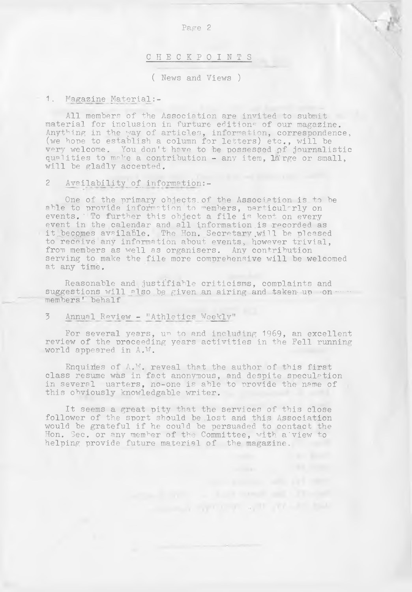### CHECKPOINTS .

( News and Views )

### 1. Magazine Material:-

All members of the Association are invited to submit material for inclusion in furture editions of our magazine. Anything in the way of articles, information, correspondence, (we hope to establish a column for letters) etc., will be very welcome. You don't have to be possessed of journalistic qualities to make a contribution - any item, large or small, will be gladly accepted.

### 2 Availability of information:-

One of the primary objects, of the Association is to be able to provide information to members, particularly on events. To further this object a file is kept on every event in the calendar and all information is recorded as it becomes available. The Hon. Secretary will be pleased to receive any information about events, however trivial, from members as well as organisers. Any contribution serving to make the file more comprehensive will be welcomed at any time.

Reasonable and justifiable criticisms, complaints and suggestions will also be given an airing and taken-up on... members' behalf

### 3 Annual Review - "Athletics Weekly"

For several years, un to and including 1969, an excellent review of the proceeding years activities in the Fell running world appeared in A.W.

Enquiries of  $A$ . W. reveal that the author of this first class resume was in fact anonymous, and despite speculation in several uarters, no-one is able to provide the name of this obviously knowledgable writer.

It seems a great pity that the services of this close follower of the sport should be .lost and this Association would be grateful if he could be persuaded to contact the Hon. Sec. or any member of the Committee, with a'view to helping provide future material of the magazine.

the property of the property of the first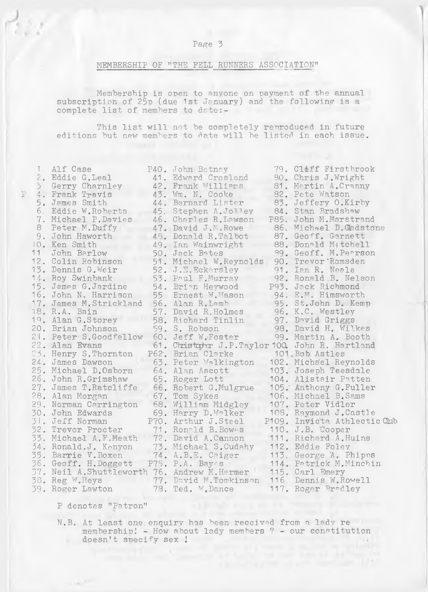1

### MEMBERSHIP OF "THE FELL RUNNERS ASSOCIATION"

Membership is open to anyone on payment of the annual subscription of 25p (due 1st January) and the following is a complete list of members to date:-

This list will not be completely reproduced in future editions but new members to date will be listed in each issue.

| 1.               | Alf Case                                      | P40. John Betney                                 |      | 79. Cleff Firstbrook         |
|------------------|-----------------------------------------------|--------------------------------------------------|------|------------------------------|
|                  | 2. Eddie G. Leal                              | 41. Edward Crosland                              |      | 80. Chris J.Wright           |
| $\mathfrak{Z}^-$ | Gerry Charnley                                | 42. Frank Williams                               |      | 81. Martin A.Cranny          |
|                  | 4. Frank Travis                               | 43. Wm. N. Cooke                                 |      | 82. Pete Watson              |
|                  | 5. James Smith                                | 44. Bernard Lister                               |      | 83. Jeffery O.Kirby          |
|                  | 6. Eddie W.Roberts                            | 45. Stephen A.Jolley                             |      | 84. Stan Bradshaw            |
|                  | 7. Michael P. Davies                          | 46. Charles R. Lawson                            | P85. | John M. Marstrand            |
|                  | 8 Peter M.Duffy                               | 47. David J.M. Rowe                              |      | 86. Michael D.Gadstone       |
|                  | 9. John Haworth                               | 48. Donald R.Talbot                              |      | 87. Geoff. Garnett           |
|                  | 10. Ken Smith                                 | 49. Ian Wainwright                               |      | 88. Donald Mitchell          |
| 11               | John Barlow                                   | 50. Jack Bates                                   |      | 89. Geoff. M. Pearson        |
|                  | 12. Colin Robinson                            | 51. Michael W.Reynolds                           |      | 90. Trevor Ramsden           |
|                  | 13. Dennis G.Weir                             | 52. J.E. Eckersley                               |      | 91. Ian R. Neale             |
|                  | 14. Roy Swinbank                              | 53. Paul F.Murray                                |      | 92. Ronald B. Nelson         |
|                  | 15. James G.Jardine                           | 54. Brian Heywood                                |      | P93. Jack Richmond           |
|                  | 16. John N. Harrison                          | 55. Ernest W. Mason                              |      | 94. E.M. Himsworth           |
|                  | 17. James M. Strickland                       | 56. Alan R.Lamb                                  |      | 95. St.John D. Kemp          |
|                  | 18. R.A. Bain                                 | 57. David R. Holmes                              |      | 96. K.C. Westley             |
|                  | 19. Alan G.Storey                             | 58. Richard Tinlin                               |      | 97. David Griggs             |
|                  | 20. Brian Johnson                             | 59. S. Robson                                    |      | 98. David H. Wilkes          |
|                  | 21. Peter S. Goodfellow                       | 60. Jeff W.Foster                                |      | 99. Martin A. Booth          |
|                  | 22. Alan Evans                                | 61. Christopher J.P.Taylor 100. John R. Hartland |      |                              |
|                  | 23. Henry S. Thornton                         | P62. Brian Clarke                                |      | 101. Bob Astles              |
|                  | 24. James Dawson                              | 63. Peter Walkington                             |      | 102. Michael Reynolds        |
|                  | 25. Michael D.Osborn                          | 64. Alan Ascott                                  |      | 103. Joseph Teesdale         |
|                  | 26. John R.Grimshaw                           | 65. Roger Lott                                   |      | 104. Alistair Patten         |
|                  | 27. James T.Ratcliffe                         | 66. Robert G. Mulgrue                            |      | 105. Anthony G.Fuller        |
|                  | 28. Alan Morgan                               | 67. Tom Sykes                                    |      | 106. Michael B. Sams         |
|                  | 29. Norman Carrington                         | 68. William Midgley                              |      | 107. Peter Vidler            |
|                  | 30. John Edwards                              | 69. Harry D. Walker                              |      | 108. Raymond J.Castle        |
|                  | 31. Jeff Norman                               | P70. Arthur J.Steel                              |      | P109. Invicta Athlectic Club |
|                  | 32. Trevor Procter                            | 71. Ronald B. Bowes                              |      | 110. J.B. Cooper             |
|                  | 33. Michael A.F.Meath                         | 72. David A.Cannon                               |      | 111. Richard A.Huins         |
|                  | 34. Ronald.J. Kenyon                          | 73. Michael S.Cudahy                             |      | 112. Eddie Foley             |
|                  | 35. Barrie V. Boxen                           | 74. A.B.E. Caiger                                |      | 113. George A. Phipps        |
|                  | 36. Geoff. H.Doggett                          | P75. P.A. Bayes                                  |      | 114. Patrick M. Minchin      |
|                  | 37. Neil A. Shuttleworth 76. Andrew M. Hermer |                                                  |      | 115. Carl Emery              |
|                  | 38. Reg W.Heys                                | 77. David M.Tomkinson                            | 116. | Dennis W. Rowell             |
|                  | 39. Roger Lawton                              | 78. Ted. W. Dance                                |      | 117. Roger Bradley           |
|                  |                                               |                                                  |      |                              |

P denotes "Patron"

 $\sim 10^{-100}$ 

N.B. At least one'enquiry has been receivad from a lady re membership; - How about lady members ? - our constitution doesn't specify sex !

Christma profit and with the first same of the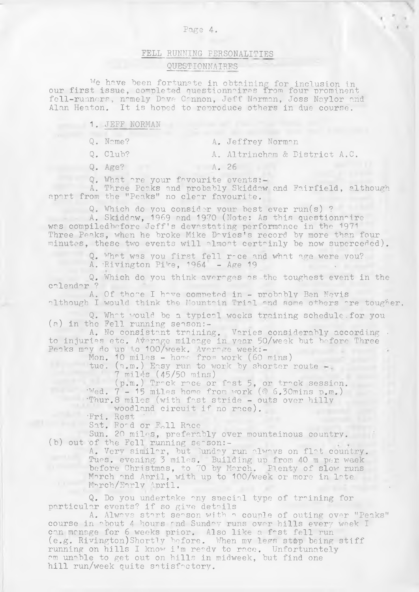### Page 4.

## FELL RUNNING PERSONALITIES QUESTIONNAIRES

We have been fortunate in obtaining for inclusion in our first issue, completed questionnaires from four prominent fell-runners, nomely Dove Connon, Jeff Norman, Joss Naylor and Alan Heaton. It is hoped to reproduce others in due course.

|  | <b>NORMAN</b> | $\rightarrow$<br>JEFF |
|--|---------------|-----------------------|
|--|---------------|-----------------------|

|  | Q. Name? |  | A. Jeffrey Norman |  |
|--|----------|--|-------------------|--|
|--|----------|--|-------------------|--|

Q. Club? A. Altrincham & District A.C.

the control of the control of

Q. Age? A. 26

Q. What are your favourite events -

A. Three Peaks and probably Skiddaw and Fairfield, although apart from the "Peaks" no clear favourite.

Q. Which do you consider your best ever run(s) ?

A. Skiddaw, 1969 and 1970 (Note: As this questionnaire, was compiled before Jeff's devastating performance in the 1971 Three Peaks, when he broke Mike Dovies's record by more than four minutes, these two events will almost certainly be now superceded).

Q. What was you first fell r-ce and what age were you?

A. 'Rivington Pike, 1964 - Age 19

Q. Which do you think averages as the toughest event in the calendar ?

A. Of thore I have competed in - probably Ben Nevis although I would think the Mountain Trial and some others are tougher.

Q. What would be a typical weeks training schedule. for you (a) in the Fell running season:-

A. No consistant training. Varies considerably according . to injuries etc. Average mileage in year 50/week but before Three Peaks may do up to 100/week. Average week:-

Mon. 10 miles - home from work (60 mins)

tue. (a.m.) Easy run to work by shorter route -7 miles (45/50 mins)

 $(p.m.)$  Track race or fast 5, or track session. Wed. 7-15 miles home from work (@ 6.30mins p.m.) Thur.8 miles (with fast stride - outs over hilly

woodland circuit if no race).

•Fri. Rest '

Sat. Road or E.11 Race

Sun. 20 miles, preferably over mountainous country. (b) out of the Fell running  $s$ e $\gamma$ son:-

A. Very similar, but Sunday run always on flat country. Tues. evening. 3 miles. Building up from 40 m per. week before Christmas, to 70 by March. Plenty of slow runs March and April, with up to 100/week or more in late. March/Early April.  $\blacksquare$ 

Q. Do you undertake any special type of training for particular events? if so give details

A. Always start season with a couple of outing over "Peaks" course in about 4 hours and Sunday runs over hills every week I can manage for 6 weeks prior. Also like a fast fell run (e.g. Rivington)Shortly before. When my legs stop being stiff running on hills I know i'm ready to race. Unfortunately am unable to get out on hills in midweek, but find one hill run/week quite satisfactory.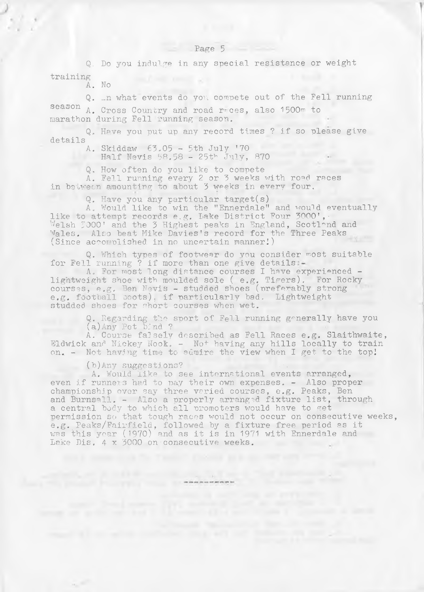Q. Do you indulge in any special resistance or weight training will remain acts

A. No

Q. In what events do you compete out of the Fell running season A. Cross Country and road r ces, also 1500m to marathon during Fell running season.

Q. Have you put up any record times ? if so please give details

A. Skiddaw 63,05 - 5th July '70 Half Nevis 58.58 25th July, 870

Q, How often do you like to compete

A. Fell running every 2 or 3 weeks with road races in between amounting to about 3 weeks in every four.

Q. Have you any particular target(s)

A. Would like to win the "Ennerdale" and would eventually like to attempt records e.g. Lake District Four 3000', Welsh 3000' and the 3 Highest peaks in England, Scotland and Wales. Also beat Mike Davies's record for the Three Peaks (Since accomplished, in no uncertain manner!)

Q. Which types of footwear do you consider most suitable for Fell running ? if more than one give details

A. For most long distance courses I have experienced lightweight shoe with moulded sole (  $e.g.$  Tigers). For Rocky courses, e.g. Ben Nevis - studded shoes (preferably strong e.g. football boots), if particularly bad. Lightweight studded shoes for short courses when wet.

> Q. Regarding the sport of Fell running generally have you (a)Any Pet bind ?

A. Course falsely described as Fell Races e.g. Slaithwaite, Eldwick and Nickey Nook.  $-$  Not having any hills locally to train on. - Not having time to admire the view when I get to the top!

(b)Any suggestions?

A. Would like to see international events arranged, even if runners had to pay their own expenses. - Also proper championship over say three varied courses, e.g. Peaks, Ben and Burnsall. - Also a properly arranged fixture list, through a central body to which all promoters would have to get permission so that tough races would not occur on consecutive weeks, e.g. Peaks/Fairfield, followed by a fixture free period as it was this year (1970) and as it is in 1971 with Ennerdale and Lake Dis. 4 x 3000 on consecutive weeks.

count all on what continues that will not transmitted the solar con-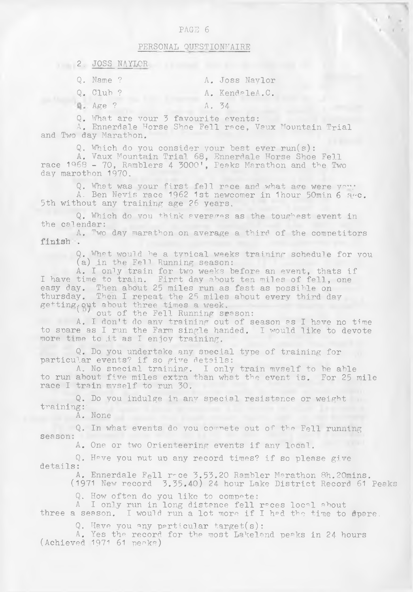### PAGE 6

### PERSONAL QUESTIONNAIRE

| 2 JOSS NAYLOR        |       |                |
|----------------------|-------|----------------|
| $Q.$ Name ?          |       | A. Joss Naylor |
| $Q_e$ Club ?         |       | A. KendaleA.C. |
| $\mathbb{Q}$ . Age ? | A. 34 |                |

Q. What are your 3 favourite events:

A. Ennerdale Horse Shoe Fell race, Vaux Mountain Trial and Two day Marathon.

Q. Which do you consider your best ever run(s):

A. Vaux Mountain Trial 68, Ennerdale Horse Shoe Pell race 1968 - 70, Ramblers 4 3000', Peaks Marathon and the Two day marothon 1970.

Q. What was your first fell race and what age were you. A. Ben Nevis race 1962 1st newcomer in 1hour 50min 6 sec. 5th without any training age 26 years.

Q. Which do you think averages as the toughest event in the calendar:

A. Two day marathon on average a third of the competitors finish .

> Q. What would be a typical weeks training schedule for you (a) in the Fell Running season:

A. I only train for two weeks before an event, thats if I have time to train. First day about ten miles of fell, one easy day. Then about 25 miles run as fast as possible on thursday. Then I repeat the 25 miles about every third day getting out about three times a week.

out of the Fell Running season:

A. I don't do any training out of season as I have no time to spare as I run the Farm single handed. I would like to devote more time to .it as I enjoy training.

Q. Do you undertake any special type of training for particular events? if so give details:

A. No special training. I only train myself to be able to run about five miles extra than what the event is. For 25 mile race I train myself to run 30.

Q. Do you indulge in any special resistance or weight training:'

A. None

Q. In what events do you commete out of the Fell running season:

A. One or two Orienteering events if any local.

Q. Hove you put up any record times? if so please give details:

A. Ennerdale Fell roce 3.53.20 Rambler Marathon 8h.20mins.

(1971 New record 3.35.40) 24 hour Lake District Record 61 Peaks

Q. How often do you like to compete:

A I only run in long distance fell reces local about three a season. I would run a lot more if I hed the time to spare

Q. Have you any particular target(s):

A. Yes the record for the most Lakeland peaks in 24 hours (Achieved 1971 61 peaks)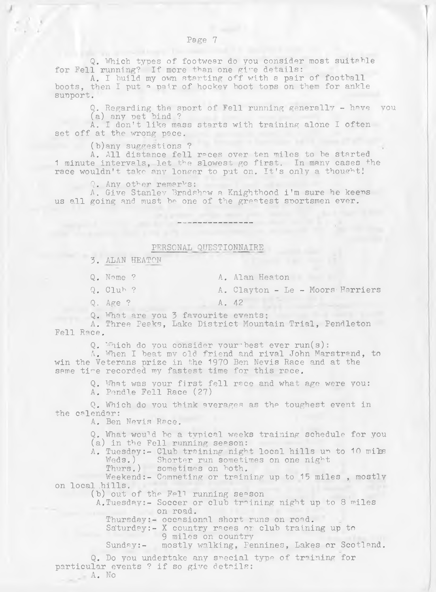Q. Which types of footwear do you consider most suitable for Fell running? If more than one give details:

A. I build my own starting off with a pair of football boots, then I put a pair of hockey boot tops on them for ankle support.

Q. Regarding the sport of Fell running generally - have you (a) any pet bind ?

A. I don't like mass starts with training alone I often set off at the wrong pace.

(b)any suggestions ?

A. All distance fell races over ten miles to be started 1 minute intervals, let the slowest go first. In many cases the race wouldn't take any longer to put on. It's only a thought!

Q. Any other remarks:

A. Give Stanley Bradshaw a Knighthood i'm sure he keeps us all going and must be one of the greatest sportsmen ever.

#### PERSONAL QUESTIONNAIRE

3. ALAN HEATON

Q. Name ? A. Alan Heaton

Q. Club ? A. Clayton - Le - Moors Harriers

Q. Age ? A. 42

Q. What are you 3 favourite events;

A. Three Peaks, Lake District Mountain Trial, Pendleton Fell Race.

Q. Which do you consider your best ever run(s):

A. When I beat my old friend and rival John Marstrand, to win the Veterans prize in the 1970 Ben Nevis Race and at the same time recorded my fastest time for this race.

> Q. What was your first fell race and what age were you: A. Pendle Fell Race (27)

Q. Which do you think averages as the toughest event in the calendar:

A. Ben Nevis Race.

Q. What would be a typical weeks training schedule for you (a) in the Fell running season:

A. Tuesday:- Club training night local hills up to 10 milss Weds.) Shorter run sometimes on one night

Thurs.) sometimes on both.

Weekend:- Competing or training up to 15 miles , mostly on local hills.

(b) out of the Fell running season

A.Tuesday:- Soccer or club training night up to 8 miles on road.

Thursday:- occasional short runs on road.

Saturday:- X country races or club training up to 9 miles on country

Sunday:- mostly walking, Pennines, Lakes or Scotland.

Q. Do you undertake any special type of training for particular events ? if so give details:

A. No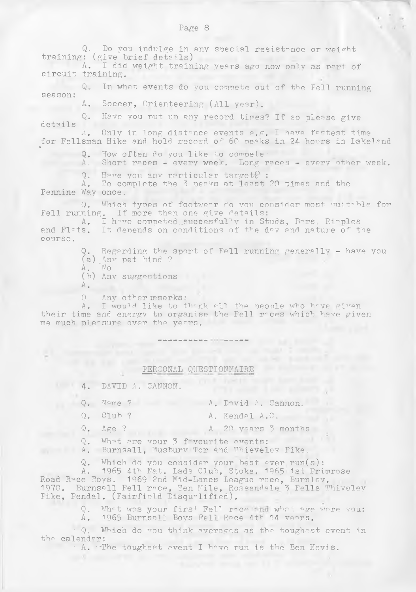Q. Do you indulge in any special resistance or weight training: (give brief details) A. I did weight training years ago now only as part of circuit training. Q. In what events do you compete out of the Fell running season: A. Soccer, Orienteering (All year). Q. Have you nut up any record times? If so please give details A. Only in long distance events e.g. I have fastest time for Fellsman Hike and hold record of 60 peaks in 24- hours in Lakeland Q. How often do you like to compete-A. Short races - every week. Long races - everv other week. Q. Have you any particular targets : A. To complete the 3 peaks at least 20 times and the Pennine Way once. Q. Which types of footwear do you consider most quitable for Fell running. If more than one give details: A. I have competed succesfully in Studs, Bars, Ripples and Flats. It depends on conditions of the day and nature of the course.

Q. Regarding the sport of Fell running generally - have you (a) Any pet bind ?

- A . 'No
- A. No<br>(h) Any suggestions
- $A_{\bullet}$
- Q. Any other remarks:

A. I would like to thank all the people who have given their time and energy to organise the Fell roces which have given me much pleasure over the years.

# PERSONAL QUESTIONNAIRE

4. DAVID A. CANNON.

- Q. Name ? A. David A. Cannon.
	-
- 
- Q. Club ? A. Kendal A.C.

The second is the assumed at

Q. Age ? A 20 years 3 months

- Q. What are your 3 f vourite events:
- A. Burnsall, Musbury Tor and Thieveley Pike.
- Q. Which do you consider your best ever run(s):

A. 1965 4th Nat. Lads Club, Stoke. 1965 1st Primros Road Roce Boys. 1969 2nd Mid-Lancs League race, Burnlev. 1970. Burnsall Fell race, Ten Mile, Rossendale 3 Fells Thiveley Pike, Pendal. (Fairfield Disqualified).

> Q. What was your first Fell roce and what age were you: A. 1965 Burnsall Boys Fell Race 4th 14 years.

• Q. Which do vou think averages as the toughest event in the calendar:

A. The toughest event I have run is the Ben Nevis.

Page 8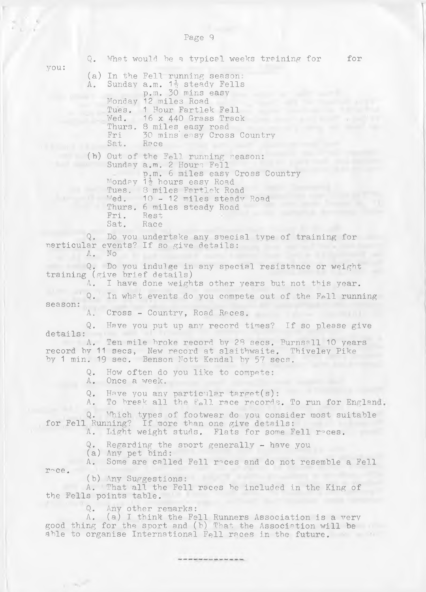Q. What would be a typical weeks training for for you: (a) In the Fell running season: A. Sunday a.m.  $1\frac{1}{2}$  steady Fell p.m. 30 mins easy Monday 12 miles Roa Tues. 1 Hour Fartlek Fell Wed. 16 x 440 Grass Track Thurs. 8 miles easy road Fri 30 mins easy Cross Country Sat. Race (h) Out of the Fell running season: Sunday a.m. 2 Hours Fell p.m. 6 miles easy Cross Country Monday 1<sup>1</sup> hours easy Road Tues. 8 miles Fartlek Road Wed. 10 - 12 miles steady Road Thurs. 6 miles steady Road Fri. Rest Sat. Race Q. Do you undertake any special type of training for particular events? If so give details: A. No Q. Do you indulge in any special resistance or weight training (give brief details)<br>A. I have done weight I have done weights other years but not this year. Q. In what events do you compete out of the Fell running season: A. Cross - Country, Road Races. Q. Have you put up any record times? If so please give details: A. Ten mile broke record by 28 secs. Burnsall 10 years record by 11 secs, New record at slaitbwaite. Thiveley Pike by 1 min. 19 sec. Benson Nott Kendal by 57 secs. Q. How often do you like to compete: A. Once a week. Q. Have you any particular target(s): A. To break all the Fell race records. To run for England. Q. Which types of footwear do you consider most suitable for Fell Running? If more than one give details: A. Light weight studs. Flats for some Fell reces. Q. Regarding the sport generally - have you (a) Any pet bind: A. Some are called Fell races and do not resemble a Fell roe. (b) Any Suggestions: A. That all the Fell races be included in the King of the Fells points table. Q. Any other remarks: A. (a) I think the Fell Runners Association is a ver good thing for the sport and (b) That the Association will be able to organise International Fell races in the future.

that your part last look and your pain last that you see that

 $\epsilon = 2.6 \mu m^2$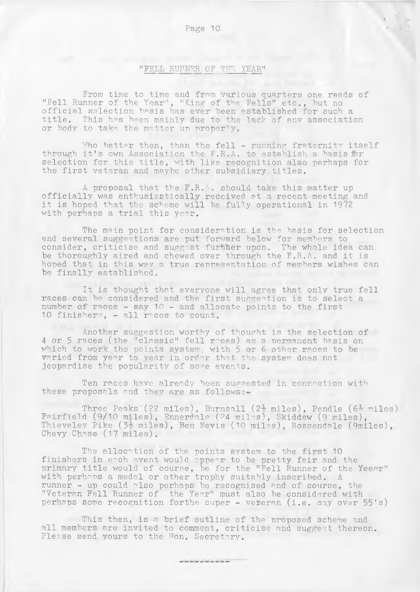### Page 10 *i*

### "PELL RUNNER OF THE YEAR"

From time to time and from various quarters one reads of "Fell Runner of the Year", "King of the Fells" etc., but no official selection basis has ever been established for such a title. This has been mainly due to the lack of any association or body to take the matter up properly.

Who better then, than the fell - running fraternity itself through it's own Association the F.R.A. to establish a basis for selection for this title, with like recognition also perhaps for the first veteran and maybe other subsidiary titles.

A proposal that the  $F.R.$  a should take this matter up officially was enthusiastically received at a recent meeting and it is hoped that the scheme will be fully operational in 19 $\tilde{r}$ with perhaps a trial this year.

The main point for consideration is the basis for selection and several suggestions are put forward below for members to consider, criticise and suggest further upon. The whole idea can be thoroughly aired and chewed over through the F.R.A. and it is hoped that in this way a true representation of members wishes can be finally established.

It is thought that everyone will agree that only true fell races can be considered and the first suggestion is to select a number of races - say 10 - and allocate points to the first 10 finishers, - all races to count.

Another suggestion worthy of thought is the selection of 4 or 5 races (the "classic" fell roces) as a permanent basis on which to work the points system, with 5 or 6 other races to be varied from year to year in order that the system does not jeopardise the popularity of some events.

Ten races have already been suggested in connection with these proposals and they are as follows

Three Peaks (22 miles), Burnsall (2 $\frac{1}{2}$  miles), Pendle (6 $\frac{1}{2}$  miles) Fairfield (9/10 miles), Ennerdale (24 miles), Skiddaw (9'miles), Thieveley Pike (3. miles), Ben Nevis (10 miles), Rossendale (9miles), Chevy Chase (17 miles).

The allocation of the points system to the first 10 finishers in each event would appear to be pretty fair and the primary title would of course, be for the "Fell Runner of the Yeear" with perhaps a medal or other trophy suitably inscribed. A runner - up could also perhaps be recognised and of course, the "Veteran Fell Runner of the Year" must also be considered with perhaps some recognition forthe super - veteran (i.e. say over 55's)

This then, is a brief outline of the proposed scheme and all members are invited to comment, criticise and suggest thereon. Please send yours to the Hon. Secretary.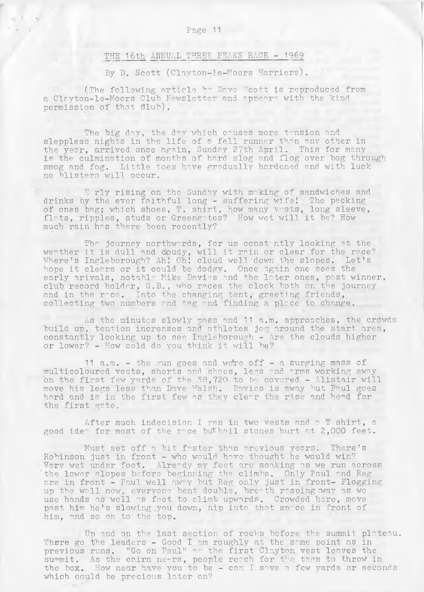### THE 16th ANNUAL THREE PEAKS RACE - 1969

By D. Scott (Clayton-le-Moors Harriers).

(The following article hv Dave Scott is reproduced from a Clayton-le-Moors Club Newsletter and appears with the kind permission of that  $dlub)$ .

The big day, the day which causes more tension and sleppless nights in the life of a fell runner than any other in the year, arrived once again, Sunday 27th April. This for many is the culmination of months of hard slog and flog over bog through smog and fog. Little toes have gradually hardened and with luck no blisters will occur.

E rly rising on the Sunday with making of sandwiches and drinks by the ever faithful long - suffering wife! The packing of ones bag; which shoes, T. shirt, how many vests, long sleeve, flats, ripples, studs or Greengates? How wet will it be? How much rain has there been recently?

The journey northwards, for us constantly looking at the weather it is dull and cloudy, will it rain or clear for the race? Where's Ingleborough? Ah! Oh! cloud well down the slopes. Let's hope it clears or it could be dodgy. Once again one sees the early arivals, notablv Mike Davies and the later ones, past winner, club record holder, G.B., who races the clock both on the journey and in the roce. Into the changing tent; greeting friends, collecting two numbers and tag and finding a place to change.

As the minutes slowly pass and 11 a.m. approaches, the crowds build up, tention increases and athletes jog around the start area, constantly looking up to see Ingleborough - Are the clouds higher or lower? - How cold do you think it will be?

11 a.m. - the gun goes and were off - a surging mass of multicoloured vests, shorts and shoes, legs and arms working away on the first few yards of the 38,720 to be covered - Alistair will move his legs less than Dave Walsh. Davies is away but Paul goes hard and is in the first few as they clear the rise and head for the first gate.

After much indecision I ran in two vests and o T shirt, a good idea for most of the race but hail stones hurt at 2,000 feet.

Must set off a bit faster than previous years. There's Robinson just in front - who would have thought he would win? Very wet under foot. Already my feet are soaking as we run across 'the lower slopes before beginning the climbs. Only Paul and Reg are in front - Paul well away but Reg only just in front- Flogging up the wall now, everyone bent double, breath resping away as we use hands as well as feet to climb upwards. Crowded here, move past him he's slowing you down, nip into that space in front of him, and so on to the.top.

Up and on the last section of rocks before 'the summit plateau. There go the leaders - Good I am roughly at the same point as in previous runs. "Go on Paul" as the first Clayton vest leaves the summit. As the cairn nears, people reach for the tags to throw in the box. How near have you to be - can I save a few yards or seconds which could be precious later on?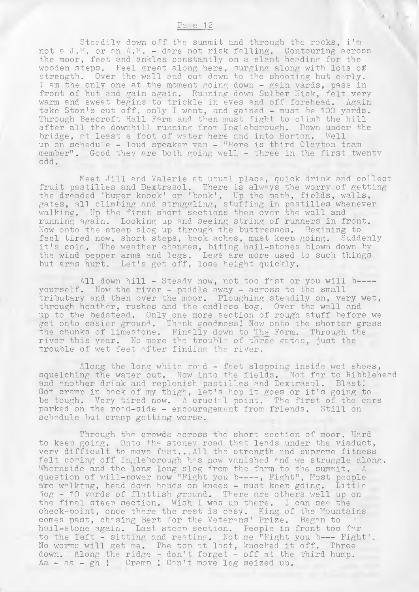### $Pa<sub>i</sub> e 12$

Steedily down off the summit and through the rocks, i'm not a J.H. or on A.H. - dare not risk falling. Contouring across the moor, feet and.ankles constantly on a slant heading for the wooden steps. Feel great along here, surging along with lots of strength. Over the wall and cut down to the shooting hut e-rly. I am the only one at the moment going down - gain yards, pass in front of hut and gain again. Running down Sulber Nick, felt very warm and sweat begins to trickle in eyes and off forehead. Again take Stan's cut off, only I went, and gained - must be 100 yards. Through Beecroft Hall Farm and then must fight to climb the hill after all the downhill running from Ingleborough. Down under the bridge, at least a foot of water here and into Horton. Well up on schedule - loud speaker van - "Here is third Clayton team member". Good they are both going well - three in the first twenty odd.

Meet Jill and Valerie at usual place, quick drink and collect fruit pastilles and Dextrasol. There is always the worry of getting the dreaded 'huger knock' or 'bonk'. Up the path, fields, walls, gates, all climbing and struggling, stuffing in pastilles whenever walking. Up the first short sections then over the wall and running again. Looking up and. seeing string of runners in front. Now onto the steep slog up through the buttresses. Begining to feel tired now, short steps, back aches, must keep going. Suddenly it's cold. The weather changes, biting hail-stones blown down by the wind pepper arms and legs. Legs are more used to such things but arms-hurt. Let's get off, lose height quickly.

All down hill - Steady now, not too fast or you will b---yourself. Now the river - paddle away - across to the small tributary and then over the moor. Ploughing steadily on, very wet, through heather, rushes and the endless bog. Over the wall and up to the bedstead. Only one more section of rough stuff before we get onto easier ground. Thank goodness! Now onto the shorter grass the chunks of limestone. Finally down to The Farm. Through the river this year. No more the trouble of three gates, just the trouble of wet feet after finding the river.

Along the long white  $r \circ d$  - feet slopping inside wet shoes, squelching the water out. Now into the fields. Not far to Ribblehead and another drink and replenish pastilles and Dextrasol. Blast! Got cramp in back of my thigh, let's hop it goes or it's going to be tough. Very tired now. A crucial point. The first of the cars parked on the road-side - encouragement from friends. Still on schedule but cramp getting worse.

Through the crowds across the short section of moor. Hard to keep going. Onto the stonev road that leads under the viaduct, very difficult to move fast...All the strength and supreme fitness felt coming off Ingleborough has now vanished and we struggle along. Whernside and the long long slog from the farm to the summit. A question of will-power now "Fight you b----, Fight", Most people are walking, head down hands on knees - must keep going. Little jog - 10 yards of flattish ground. There are others well up on the final steen section. Wish I was up there. I can see the check-point, once there the rest is easy. King of the Mountains comes past, chasing Bert for the Veterans' Prize. Began to hail-stone again. Last steep section. People in front too for to the left - sitting and resting. Not me "Fight you b--- Fight". No worms will get me. The top at last, knocked it off. Three down. Along the ridge - don't forget - off at the third hump. Aa - aa - gh ! Cramp ! Can't move leg seized up.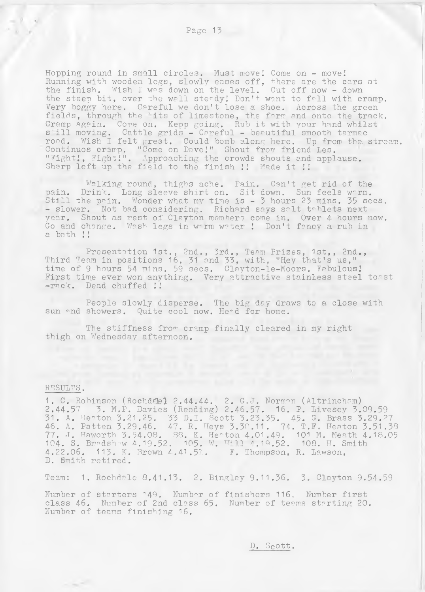Hopping round in small circles. Must move! Come on - move! Running with wooden legs, slowly eases off, there are the cars at the finish. Wish I was down on the level. Cut off now - down the steep bit, over the wall steady! Don't want to fall with cramp. Very boggy here. Careful we don't lose a shoe. Across the green fields, through the 'its of limestone, the farm and onto the track Cramp again. Come on. Kepp going. Rub it with your hand whilst s'ill moving. Cattle grids - Careful - beautiful smooth tarmac road. Wish I felt great. Could bomb along here. Up from the. stream. Continuos cramp. "Come on Dave!" Shout from friend les. "Fight!, Fight!". Approaching the crowds shouts and applause. Sharp left up the field to the finish !! Made it !!

Walking round, thighs ache. Pain. Can't get rid of the pain. Drink. Long sleeve shirt on. Sit down. Sun feels w~rm. Still the pain. Wonder what my time is - 3 hours 23 mins. 35 secs. - slower. Not bad considering. Richard says salt tablets next year. Shout as rest of Clayton members come in. Over 4 hours now. Go and change. Wash legs in worm water ! Don't fancy a rub in a bath !I

Presentation 1st., 2nd., 3rd., Team Prizes, 1st., 2nd., Third Team in positions 16, 31 and 33, with, "Hey that's us," time of 9 hours 54 mins. 59 secs. Clayton-le-Moors. Fabulous! First time ever won anything. Very attractive stainless steel tosst -rack. Dead chuffed !!

People slowly disperse. The big day draws to a close with sun and showers. Quite cool now. Head for home.

The stiffness from cramp finally cleared in my right thigh on Wednesday afternoon.

### RESULTS .

1. C. Robinson (Rochdale) 2.44.44. 2. G.J. Norman (Altrincham) 2.44.57 3. M.P. Davies (Reading) 2.46.57. 16. P. Livesey 3.09.59 31. A. Heaton 3.21.25. 33 D.I. Scott 3.23.35. 45. G. Brass 3.29.27 46. A. Patten 3.29.46. 47. R. Heys 3.30.11. 74. T.F. Heaton 3.51.38 77. J. Haworth 3.54.08. 88. K. Heaton 4.01.49. 101 M. Meath 4.18.05 104. S. Bradshaw 4.19.52. 105. W. Hill 4.19.52. 108. H. Smith 4.22.06. 113. K. Brown 4.41.51. F. Thompson, R. Lawson, D. Smith retired.

Team: 1. Rochdale 8.41.13. 2. Bingley 9.11.36. 3. Clayton 9.54.59

Number of starters 149. Number of finishers 116. Number first class 46. Number of 2nd class 65. Number of teams starting 20. Number of teams finishing 16.

D. Scott.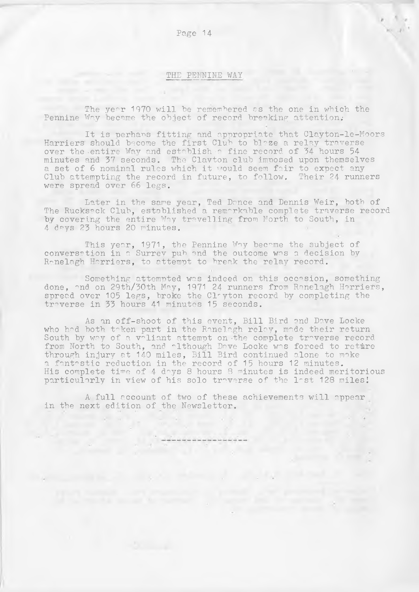# **THE PENNINE WAY**

The year 1970 will be remembered as the one in which the Pennine Way became the object of record breaking attention.

It is perhans fitting and appropriate that Clayton-le-Moors Harriers should become the first Club to blaze a relay traverse over the entire Way and establish a fine record of 34 hours 54 minutes and 37 seconds. The Clavton club imposed upon themselves a set of 6 nominal rules which it vould seem fair to expect any Club attempting the record in future, to follow. Their 24 runners were spread over 66 legs.

Later in the same year, Ted Dance and Dennis Weir, both of The Rucksack Club, established a remarkable complete traverse record by covering the entire Way travelling from North to South, in 4 days 23 hours 20 minutes.

This year, 1971, the Pennine Way became the subject of conversation in a Surrey pub and the outcome was a decision by Ranelagh Harriers, to attempt to break the relay record.

Something attempted was indeed on this occasion, something done, and on 29th/30th May, 1971 24 runners from Ranelagh Harriers, spread over 105 legs, broke the Clayton record by completing the traverse in 33 hours 41 minutes 15 seconds.

As an off-shoot of this event, Bill Bird and Dave Locke who had both taken part in the Ranelagh relay, made their return South by way of a voliant attempt on the complete troverse record from North to South, and although Dave Locke was forced to reture through injury at 140 miles, Bill Bird continued alone to make a fantastic reduction in the record of 15 hours 12 minutes. His complete time of 4 days 8 hours 8 minutes is indeed meritorious particularly in view of his solo traverse of the 1ast 128 miles!

A full account of two of these achievements will appear in the next edition of the Newsletter.

and the contract of the

Page 14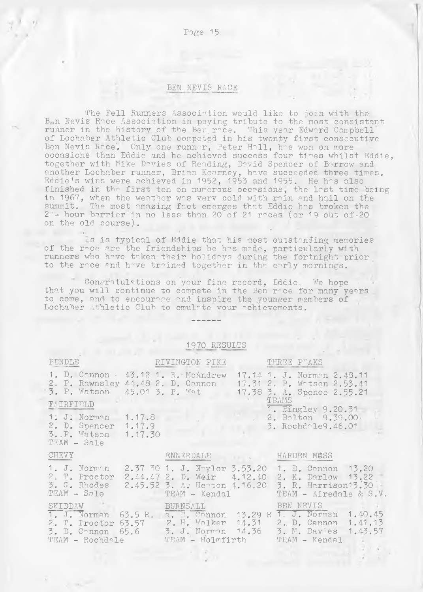### BEN NEVIS RACE

Page 15

The Fell Runners Association would like to join with the  $B_{\rho}$ n Nevis Roce Association in paying tribute to the most consistant runner in the history of the Ben roce. This year Edward Campbell of Lochaber Athletic Club competed in his twenty first consecutive Ben Nevis Race'. Only one runner, Peter Hall, has won on more occasions than Eddie and he achieved success four times whilst Eddie, together with Mike Davies of Reading, David Spencer of Borrow and another Lochaber runner, Brian Kearney, have succeeded three times. Eddie's wins were achieved in 1952, 1953 and 1955. He has also finished in the first ten on numerous occasions, the last time being in 1967, when the weather was very cold with rain and hail on the summit. The most amazing fact emerges that Eddie has broken the  $2$  - hour barrier in no less than 20 of 21 reces (or 19 out of 20 on the old course).

Is is typical of Eddie that his most outstanding memories of the roce are the friendships he hos mode, particularly with runners who have taken their holidays during the fortnight prior to the race and have trained together in the early mornings.

Congratulations on your fine record, Eddie. We hope that you will continue to compete in the Ben roce for many years to come, and to encourage and inspire the younger members of Lochaber Athletic Club to emulate your achievements.

### 1970 RESULTS

|                                                                   |                                                       | THREE PEAKS                                                                                                                                                                                                                                                                                                                                                                                                                             |
|-------------------------------------------------------------------|-------------------------------------------------------|-----------------------------------------------------------------------------------------------------------------------------------------------------------------------------------------------------------------------------------------------------------------------------------------------------------------------------------------------------------------------------------------------------------------------------------------|
|                                                                   |                                                       | 17.14 1. J. Norman 2.48.11<br>17.31 2. P. Watson 2.53.41<br>17.38 3. A. Spence 2.55.21                                                                                                                                                                                                                                                                                                                                                  |
|                                                                   |                                                       | TEAMS<br>1. Bingley 9.20.31                                                                                                                                                                                                                                                                                                                                                                                                             |
| 1. J. Norman 1.17.8<br>2. D. Spencer 1.17.9<br>3P. Watson 1.17.30 |                                                       | $2.$ Bolton $9.39.00$<br>3. Rochdale9.46.01                                                                                                                                                                                                                                                                                                                                                                                             |
|                                                                   |                                                       |                                                                                                                                                                                                                                                                                                                                                                                                                                         |
| $TEAM - S_21e$                                                    |                                                       | 1. D. Cannon 13.20<br>2. K. Darlow 13.22<br>3. R. Harrison13.30<br>TEAM - Airedale & S.V.                                                                                                                                                                                                                                                                                                                                               |
| SKIDDAW<br>TEAM - Rochdale                                        |                                                       | BEN NEVIS<br>1. J. Norman 1.40.45                                                                                                                                                                                                                                                                                                                                                                                                       |
|                                                                   | RIVINGTON PIKE<br>1. D. Cannon · 43.12 1. R. McAndrew | 2. P. Rawnsley 44.48 2. D. Cannon<br>3. P. Watson 45.01 3. P. Wat<br>ENNERDALE HARDEN MOSS<br>2.37 30 1. J. Noylor 3.53.20<br>2.44.47 2. D. Weir 4.12.40<br>2.45.52 3. A. Heaton 4.16.20<br>TEAM - Kendal<br><b>BURNSALL</b><br>1. J. Norman 63.5 R. a. D. Cannon 13.29 R<br>2. T. Proctor 63.57 2. H. Walker 14.31 2. D. Cannon 1.41.13<br>3. D. Connon 65.6 3. J. Norman 14.36 3. M. Davies 1.43.57<br>TEAM - Holmfirth TEAM - Kendal |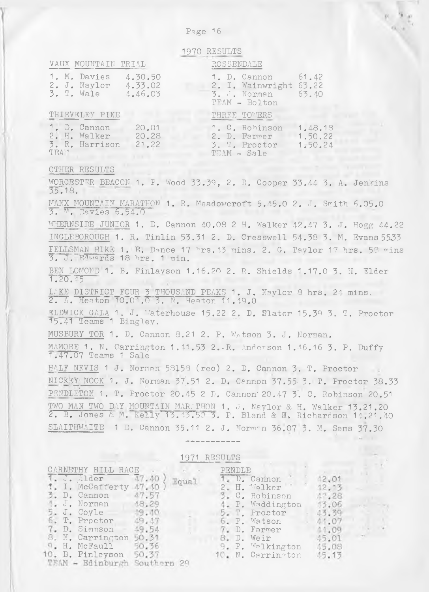| 1970 RESULTS                                                                                                                                                                                                                                                         |
|----------------------------------------------------------------------------------------------------------------------------------------------------------------------------------------------------------------------------------------------------------------------|
| VAUX MOUNTAIN TRIAL<br>ROSSENDALE                                                                                                                                                                                                                                    |
| 1. M. Davies<br>61.42<br>4.30.50<br>1. D. Cannon<br>2. I. Wainwright 63.22<br>2. J. Naylor<br>4.33.02<br>3. T. Wale<br>3. J. Norman<br>4.46.03<br>63.40<br>TEAM - Bolton                                                                                             |
| THIEVELEY PIKE<br>THREE TOWERS                                                                                                                                                                                                                                       |
| 1. D. Cannon<br>1.48.18<br>20.01<br>1. C. Robinson<br>2. H. Walker<br>20.28<br>2. D. Farmer<br>1,50.22<br>3. R. Harrison<br>3. T. Proctor<br>21.22<br>1.50.24<br>TEA <sup>14</sup><br>TEAM - Sale                                                                    |
| OTHER RESULTS                                                                                                                                                                                                                                                        |
| WORCESTER BEACON 1. P. Wood 33.39, 2. R. Cooper 33.44 3. A. Jenkins<br>35.18.                                                                                                                                                                                        |
| MANX MOUNTAIN MARATHON 1. R. Meadowcroft 5.45.0 2. J. Smith 6.05.0<br>3. M. Davies 6.54.0                                                                                                                                                                            |
| WHERNSIDE JUNIOR 1. D. Cannon 40.08 2 H. Walker 42.47 3. J. Hogg 44.22                                                                                                                                                                                               |
| INGLEBOROUGH 1. R. Tinlin 53.31 2. D. Cresswell 54.38 3. M. Evans 55.33                                                                                                                                                                                              |
| FELLSMAN HIKE 1. E. Dance 17 hrs. 13 mins. 2. G. Taylor 17 hrs. 58 mins<br>3. J. Edwards 18 hrs. 1 min.                                                                                                                                                              |
| BEN LOMOND 1. B. Finlavson 1.16.20 2. R. Shields 1.17.0 3. H. Elder<br>1.20.45                                                                                                                                                                                       |
| LAKE DISTRICT FOUR 3 THOUSAND PEAKS 1. J. Naylor 8 hrs. 24 mins.<br>2. A. Heaton 10.04.0 3. N. Heaton 11.49.0                                                                                                                                                        |
| ELDWICK GALA 1. J. Waterhouse 15.22 2. D. Slater 15.39 3. T. Proctor<br>15.41 Teams 1 Bingley.                                                                                                                                                                       |
| MUSBURY TOR 1. D. Cannon 8.21 2. P. Wotson 3. J. Norman.                                                                                                                                                                                                             |
| MAMORE 1. N. Carrington 1.11.53 2.R. Anderson 1.46.16 3. P. Duffy<br>1.47.07 Teams 1 Sale                                                                                                                                                                            |
| HALF NEVIS 1 J. Norman 58158 (rec) 2. D. Cannon 3. T. Proctor                                                                                                                                                                                                        |
| NICKEY NOOK 1. J. Norman 37.51 2. D. Cannon 37.55 3. T. Proctor 38.33                                                                                                                                                                                                |
| PENDLETON 1. T. Proctor 20.45 2 D. Cannon 20.47 3. C. Robinson 20.51                                                                                                                                                                                                 |
| TWO MAN TWO DAY MOUNTAIN MAR. THON 1. J. Naylor & H. Walker 13.21.20<br>2. B. Jones & M. Kelly 13.43.50 3. P. Bland & H. Richardson 14.21.40                                                                                                                         |
| SLAITHWAITE 1 D. Cannon 35.11 2. J. Norman 36.07 3. M. Sams 37.30                                                                                                                                                                                                    |
|                                                                                                                                                                                                                                                                      |
| 1971 RESULTS                                                                                                                                                                                                                                                         |
| CARNETHY HILL RACE<br>PENDLE<br>J. Alder<br>47.40<br>1. D. Cannon<br>12,01<br>Equal<br>I. McCafferty 47<br>Walker<br>.10<br>Η.<br>12.13<br>D. Cannon<br>47.57<br>3.<br>$C_{\bullet}$<br>Robinson<br>$4^{\circ}$ . 28<br>J. Norman<br>18.29<br>P. Waddington<br>13,06 |
| J. Coyle<br>49.10<br>$T$ .<br>Proctor<br>43.39<br>T. Proctor<br>49.47<br>6. P. Watson<br>44.07<br>D. Simnson<br>19.54<br>D. Farmer<br>11.09                                                                                                                          |

N. Carrington H. McFaull B. Finlayson

P. Walkington N. Carrington

D. Weir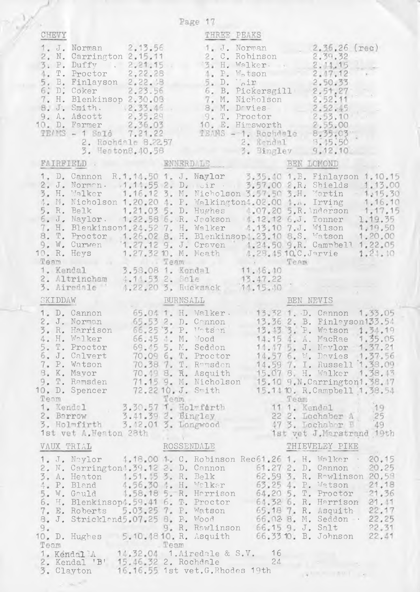|                                                                                                                                                                                                                                                                                                  | Page 17                                                                                                                                                                                                                                                                                                                                                                                                                                                                                                                                                                                                                                                                                                        |                                                                                             |
|--------------------------------------------------------------------------------------------------------------------------------------------------------------------------------------------------------------------------------------------------------------------------------------------------|----------------------------------------------------------------------------------------------------------------------------------------------------------------------------------------------------------------------------------------------------------------------------------------------------------------------------------------------------------------------------------------------------------------------------------------------------------------------------------------------------------------------------------------------------------------------------------------------------------------------------------------------------------------------------------------------------------------|---------------------------------------------------------------------------------------------|
| CHEVY                                                                                                                                                                                                                                                                                            | THREE PEAKS                                                                                                                                                                                                                                                                                                                                                                                                                                                                                                                                                                                                                                                                                                    |                                                                                             |
| 1. J. Norman 2.13.56<br>2. N. Carrington 2.15.11<br>3. P. Duffy . 2.21.15.<br>T. Proctor 2.22.28<br>4.<br>B. Finlayson 2.22.18<br>D. Coker 2.23.56<br>5.<br>6:<br>H. Blenkinsop 2.30.08<br>7.<br>8. J. Smith. 2.33.46<br>9. A. Ascott 2.35.29<br>10. D. Farmer 2.36.03<br>TEAMS - 1 Salé 7.21.22 | 1. J. Norman<br>2. C. Robinson<br>3. H. Walker.<br>4. P. Motson<br>5. D. Joir<br>6. B. Pickersgill 2.51.27<br>7. M. Nicholson 2.52.11<br>8. M. Drvies 2.52.45<br>9. T. Proctor 2.53.10<br>10. E. Himsworth 2.55.00<br>1 Salé 7.21.22 TEANS - 1. Rochdale 8.35.03<br>2. Rochdale 8.2257 2. Kendal 3.45.50<br>3. Heaton8.40.58 3. Bingley 9.12.10                                                                                                                                                                                                                                                                                                                                                                | $2,36,26$ (rec)<br>2.39.32<br>2.11.15<br>2.17.12<br>2,50.33                                 |
| FAIRFIELD . ENNERDALE                                                                                                                                                                                                                                                                            |                                                                                                                                                                                                                                                                                                                                                                                                                                                                                                                                                                                                                                                                                                                | BEN LOMOND                                                                                  |
| 4.1                                                                                                                                                                                                                                                                                              | 1. D. Cannon R.1.14.50 1. J. Naylor 3.35.40 1.B. Finlayson 1.10.15<br>2. J. Norman. 1.11.55 2. D. eir 3.57.00 2.R. Shields 1.13.00<br>3. H. Walker 1.16.12 3. M. Nicholson 3.57.50 3.H. Martin 1.15.30<br>M. Nicholson 1.20.20 4. P. Walkington: 02.00 1 A. Irving 1.16.10<br>1.21.03 5. D. Hughes 4.07.20 5. R. Anderson 1.17.15<br>5. R. Belk 1.21.03 5. D. Hughes 4.07.20 5. R. Anderson 1.17.15<br>6. J. Naylor. 1.22.58 6. R. Jeckson 4.12.12 6. J. Tonner 1.19.55<br>7. H. Blenkinsop1.24.52 7. H. Walker 4.<br>10. R. Heys 1.27.32 10. M. Meath 4.28.45 10.C. Jarvie<br>Team 1. Kendal 3.58.08 1. Kendal 11.46.10<br>2. Altrincham 4.14.53 2. Sale 13.47.22<br>3. Airedale 1.22.20 3. Rucksack 14.15.40 | 1.21.10                                                                                     |
|                                                                                                                                                                                                                                                                                                  |                                                                                                                                                                                                                                                                                                                                                                                                                                                                                                                                                                                                                                                                                                                |                                                                                             |
|                                                                                                                                                                                                                                                                                                  |                                                                                                                                                                                                                                                                                                                                                                                                                                                                                                                                                                                                                                                                                                                |                                                                                             |
| SKIDDAW                                                                                                                                                                                                                                                                                          | BURNSALL                                                                                                                                                                                                                                                                                                                                                                                                                                                                                                                                                                                                                                                                                                       | BEN NEVIS                                                                                   |
| 1. D. Cannon<br>2. J. Norman<br>3. R. Harrison<br>4. H. Walker<br>5. T. Proctor<br>6. J. Calvert<br>7. P. Watson<br>8. K. Mayor                                                                                                                                                                  | 65.04 1. H. Walker. 13.32 1. D. Cannon 1.33.05<br>65.53 2. D. Connon 13.36 2. B. Finleyson133.54<br>66.25 3. P. Votson 13.13 3. P. Watson 1.34.19<br>66.45 M. Wood<br>69.45 5. M. Seddon<br>70.09 6. T. Proctor 14.57 6. W. Davies 1.37.56<br>70.38 7. T. Ramsden 14.59 7. I. Russell 1.38.09<br>70.49 8. R. Asquith 15.07 8 H. Walker 1.38.43<br>9. T. Ramsden 71.15 9. M. Nicholson 15.10 9. N. Carrington1.38.17<br>10, D. Spencer 72.2210. J. Smith 15.14 10. R. Campbell 1.38.54<br>Team Team Team Team Team 1. Kendal 3.30.57 1. Holmfarth 11 1. Kendal 19                                                                                                                                               | 14.15 4. A. MacRae 1.35.05<br>14.47 5. J. Naylor 1.37.21<br>$22$ 2. Lochaber $\Lambda$ $25$ |
| 2. Barrow 3.41.39 2. Bingley<br>3. Holmfirth 3.12.01 3. Longwood                                                                                                                                                                                                                                 |                                                                                                                                                                                                                                                                                                                                                                                                                                                                                                                                                                                                                                                                                                                | 47 3. Lochabar B 49                                                                         |
| 1st vet A. Heaton 28th                                                                                                                                                                                                                                                                           | ROSSENDALE                                                                                                                                                                                                                                                                                                                                                                                                                                                                                                                                                                                                                                                                                                     | 1st yet J. Marstrand 19th<br>THIEVELEY PIKE                                                 |
| VAUX TRIAL                                                                                                                                                                                                                                                                                       |                                                                                                                                                                                                                                                                                                                                                                                                                                                                                                                                                                                                                                                                                                                |                                                                                             |
|                                                                                                                                                                                                                                                                                                  | 1. J. Noylor 4.18.00 1. C. Robinson Rec61.26 1. H. Walker . 20.15<br>2. N. Carrington 1.39.12 2. D. Cannon 61.27 2. D. Cannon 20.25<br>3. A. Heaton 1.51.15 3. R. Belk 62.59 3. R. R-wlinson 20.58<br>4. P. Bland 4.56.30 4. H. Wolker 63.25 4. P. Watson 21.18<br>5. W. Gauld 1.58.18 5. R. Harrison 64.20 5. T. Proctor 21.36<br>6. H. Blenkinsop1.59.41 6. T. Proctor 64.32 6. R. Harrison 21.41<br>6. H. Blenkinsop1.59.41 b. T. Proctor 64.22 b. R. Berlison 22.17<br>7. E. Roberts 5.03.25 7. P. Watson 65.18 7. R. Asquith 22.17<br>8. J. Strickland5.07.25 B. P. Wood 66.02 B. M. Seddon 22.25<br>9. R. Rawlinson 66.15 9. J. Salt                                                                     |                                                                                             |
|                                                                                                                                                                                                                                                                                                  | 2. Kendal 'B' 15.46.32 2. Rochdale 24<br>3. Clayton 16.16.55 1st vet.G.Rhodes 19th                                                                                                                                                                                                                                                                                                                                                                                                                                                                                                                                                                                                                             | <b>ALLE LABILITY CO.</b>                                                                    |